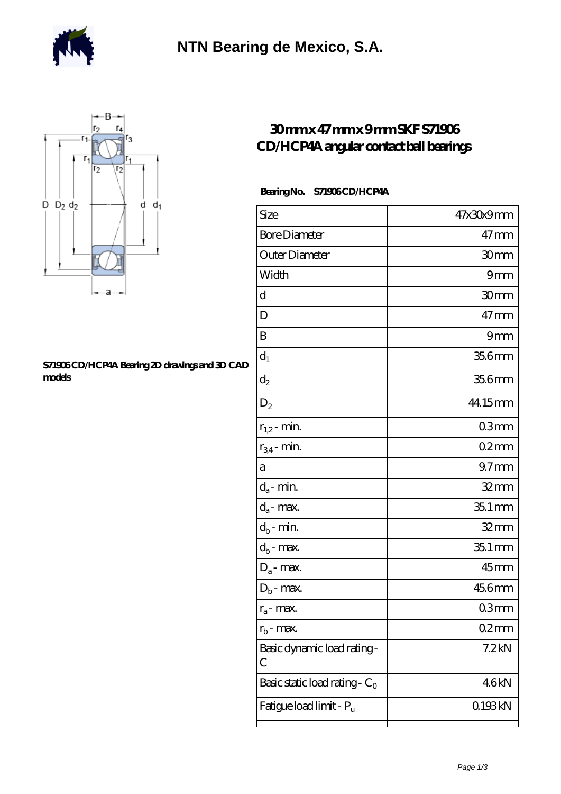



## **[S71906 CD/HCP4A Bearing 2D drawings and 3D CAD](https://m.berliner-freunde.org/pic-391282.html) [models](https://m.berliner-freunde.org/pic-391282.html)**

## **[30 mm x 47 mm x 9 mm SKF S71906](https://m.berliner-freunde.org/at-391282-skf-s71906-cd-hcp4a-angular-contact-ball-bearings.html) [CD/HCP4A angular contact ball bearings](https://m.berliner-freunde.org/at-391282-skf-s71906-cd-hcp4a-angular-contact-ball-bearings.html)**

## **Bearing No. S71906 CD/HCP4A**

| Size                             | 47x30x9mm         |
|----------------------------------|-------------------|
| <b>Bore Diameter</b>             | $47$ mm           |
| Outer Diameter                   | 30 <sub>mm</sub>  |
| Width                            | 9mm               |
| d                                | 30mm              |
| D                                | $47$ mm           |
| B                                | 9mm               |
| $d_1$                            | 35.6mm            |
| $\mathrm{d}_2$                   | 35.6mm            |
| $D_2$                            | 44.15mm           |
| $r_{1,2}$ - min.                 | 03 <sub>mm</sub>  |
| $r_{34}$ - min.                  | $02$ mm           |
| а                                | 97 <sub>mm</sub>  |
| $d_a$ - min.                     | $32 \text{mm}$    |
| $d_a$ - max.                     | 35.1 mm           |
| $d_b$ - min.                     | $32$ mm           |
| $d_b$ - $\max$                   | $351$ mm          |
| $D_a$ - max.                     | $45$ mm           |
| $D_b$ - max.                     | 456mm             |
| $r_a$ - max.                     | 03 <sub>mm</sub>  |
| $r_{\rm b}$ - max.               | 02mm              |
| Basic dynamic load rating-<br>С  | 7.2 <sub>kN</sub> |
| Basic static load rating - $C_0$ | 46kN              |
| Fatigue load limit - Pu          | 0.193kN           |
|                                  |                   |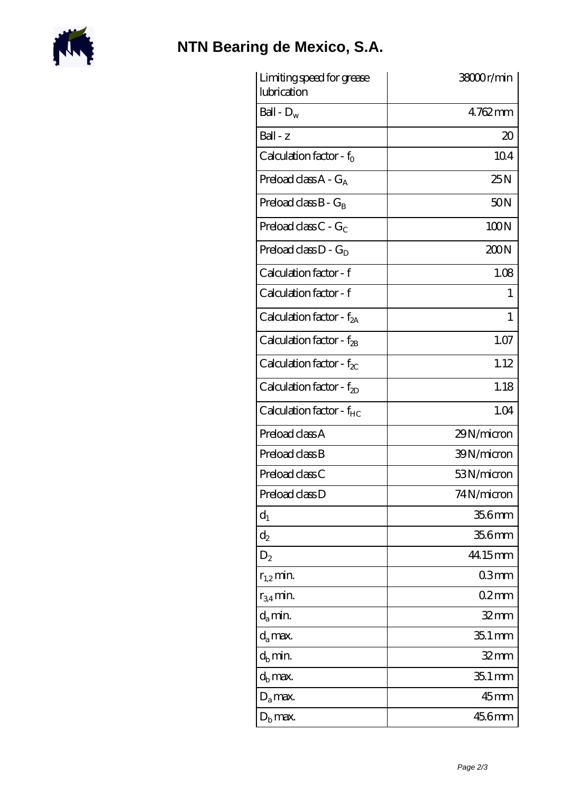

## **[NTN Bearing de Mexico, S.A.](https://m.berliner-freunde.org)**

| Limiting speed for grease<br>lubrication | 38000r/min      |
|------------------------------------------|-----------------|
| Ball - $D_w$                             | $4762$ mm       |
| Ball - z                                 | 20              |
| Calculation factor - $f_0$               | 104             |
| Preload class $A - G_A$                  | 25N             |
| Preload class $B - G_B$                  | 50 <sub>N</sub> |
| Preload class C - $G_C$                  | 100N            |
| Preload class $D - G_D$                  | 200N            |
| Calculation factor - f                   | 1.08            |
| Calculation factor - f                   | 1               |
| Calculation factor - $f_{2A}$            | 1               |
| Calculation factor - f <sub>2B</sub>     | 1.07            |
| Calculation factor - $f_{\chi}$          | 1.12            |
| Calculation factor - $f_{2D}$            | 1.18            |
| Calculation factor - f <sub>HC</sub>     | 1.04            |
| Preload class A                          | 29N/micron      |
| Preload class B                          | 39N/micron      |
| Preload class C                          | 53N/micron      |
| Preload class D                          | 74N/micron      |
| $d_1$                                    | 35.6mm          |
| $\mathrm{d}_2$                           | 35.6mm          |
| $D_2$                                    | 44.15mm         |
| $r_{1,2}$ min.                           | 03mm            |
| $r_{34}$ min.                            | 02mm            |
| $d_a$ min.                               | 32mm            |
| $d_a$ max.                               | $351$ mm        |
| $d_h$ min.                               | $32$ mm         |
| $d_h$ max.                               | $351$ mm        |
| $D_a$ max.                               | $45$ mm         |
| $D_{\rm b}$ max.                         | 456mm           |